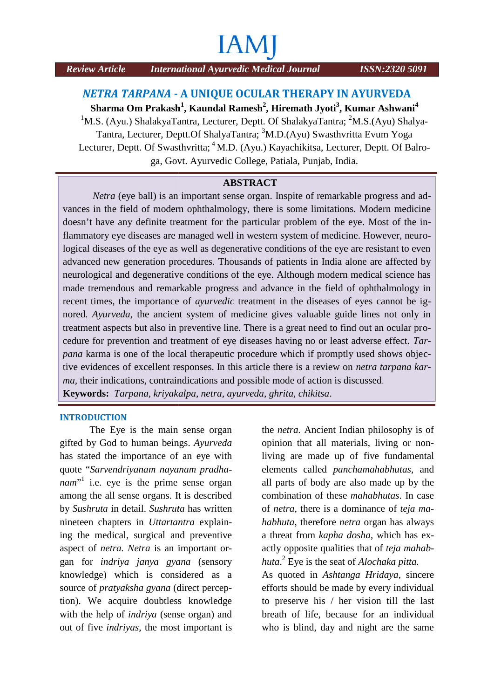# **IAM**

#### *NETRA TARPANA* **- A UNIQUE OCULAR THERAPY IN AYURVEDA** *TARPANA*

 $\boldsymbol{\mathrm{S}}$ harma Om Prakash $^1$ , Kaundal Ramesh $^2$ , Hiremath Jyoti $^3$ , Kumar Ashwani $^4$ <sup>1</sup>M.S. (Ayu.) ShalakyaTantra, Lecturer, Deptt. Of ShalakyaTantra; <sup>2</sup>M.S.(Ayu) Shalya-Tantra, Lecturer, Deptt.Of ShalyaTantra; <sup>3</sup>M.D.(Ayu) Swasthvritta Evum Yoga Tantra, Lecturer, Deptt.Of ShalyaTantra; <sup>3</sup>M.D.(Ayu) Swasthvritta Evum Yoga<br>Lecturer, Deptt. Of Swasthvritta; <sup>4</sup>M.D. (Ayu.) Kayachikitsa, Lecturer, Deptt. Of Balroga, Govt. Ayurvedic College, Patiala, Punjab, India.

#### **ABSTRACT**

*Netra* (eye ball) is an important sense organ. Inspite of remarkable progress and advances in the field of modern ophthalmology, there is some limitations. Modern medicine doesn't have any definite treatment for the particular problem of the eye. Most of the inflammatory eye diseases are managed well in western system of medicine. However, neurological diseases of the eye as well as degenerative conditions of the eye are resistant to even advanced new generation procedures. Thousands of patients in India alone are affected by neurological and degenerative conditions of the eye. Although modern medical science has made tremendous and remarkable progress and advance in the field of ophthalmology in recent times, the importance of *ayurvedic* treatment in the diseases of eyes cannot be ignored. *Ayurveda*, the ancient system of medicine gives valuable guide lines not only in treatment aspects but also in preventive line. There is a great need to find out an ocular procedure for prevention and treatment of eye diseases having no or least adverse effect. *Tarpana* karma is one of the local therapeutic procedure which if promptly used shows objective evidences of excellent responses. In this article there is a review on *netra tarpana karma,* their indications, contraindications and possible mode of action is discussed. **Keywords:** *Tarpana, kriyakalpa, netra, ayurveda, ghrita, chikitsa*. Article International Ayurvelic Metical Fournal ISSN:232018091<br> **STRA TARPA NA - A UNIQUE OCULAR THERRAPY IN AYURNED A<br>
Sa Crow, ShakayaTanat, Lecture, Dept. Of ShakayaTanat: `MA (Ayu Swanthritta E:NM (Ayu) ShakyaTanat: `M** ological and degenerative conditions of the eye. Although modern medical science has<br>e tremendous and remarkable progress and advance in the field of ophthalmology in<br>nt times, the importance of *ayurvedic* treatment in th

#### **INTRODUCTION**

The Eye is the main sense organ sense organ gifted by God to human beings. Ayurveda op has stated the importance of an eye with quote "*Sarvendriyanam nayanam pradha-Sarvendriyanam nayanamnam*<sup>"1</sup> i.e. eye is the prime sense organ all among the all sense organs. It is described by *Sushruta* in detail. *Sushruta* has written *Sushruta*nineteen chapters in *Uttartantra* explaining the medical, surgical and preventive<br>aspect of *netra*. *Netra* is an important oraspect of *netra. Netra* is an important organ for *indriya janya gyana* (sensory knowledge) which is considered as a source of *pratyaksha gyana* (direct perception). We acquire doubtless knowledge source of *pratyaksha gyana* (direct perception). We acquire doubtless knowledge to the help of *indriya* (sense organ) and b out of five *indriyas*, the most important is of the human beings. Ayurveda opinion that all materials, living or non-<br>stated the importance of an eye with living are made up of five fundamental<br>e "Sarvendriyanam nayanam pradha-<br>elements called panchamahabhutas, and<br>"

the *netra.* Ancient Indian philosophy is of opinion that all materials, living or nonliving are made up of five fundamental elements called *panchamahabhutas*, and all parts of body are also made up by the combination of these *mahabhutas*. In case of *netra*, there is a dominance of *teja mahabhuta*, therefore *netra* organ has always a threat from *kapha dosha*, which has exactly opposite qualities that of *teja mahabhuta*.<sup>2</sup> Eye is the seat of *Alochaka pitta.* threat from *kapha dosha*, which has ex-<br>tly opposite qualities that of *teja mahab-*<br>tta.<sup>2</sup> Eye is the seat of *Alochaka pitta*.<br>s quoted in *Ashtanga Hridaya*, sincere<br>forts should be made by every individual

As quoted in *Ashtanga Hridaya*, sincere efforts should be made by every individual to preserve his / her vision till the last breath of life, because for an individual who is blind, day and night are the same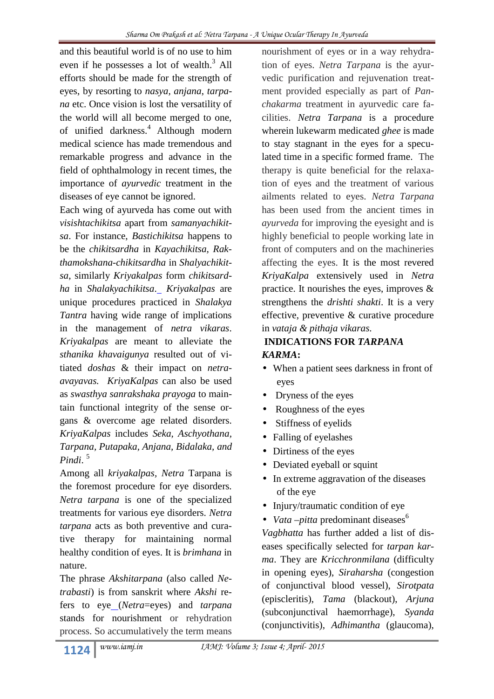and this beautiful world is of no use to him even if he possesses a lot of wealth.<sup>3</sup> All efforts should be made for the strength of eyes, by resorting to *nasya, anjana*, *tarpana* etc. Once vision is lost the versatility of the world will all become merged to one, of unified darkness.<sup>4</sup> Although modern medical science has made tremendous and remarkable progress and advance in the field of ophthalmology in recent times, the importance of *ayurvedic* treatment in the diseases of eye cannot be ignored.

Each wing of ayurveda has come out with *visishtachikitsa* apart from *samanyachikitsa*. For instance, *Bastichikitsa* happens to be the *chikitsardha* in *Kayachikitsa, Rakthamokshana-chikitsardha* in *Shalyachikitsa*, similarly *Kriyakalpas* form *chikitsardha* in *Shalakyachikitsa*. *Kriyakalpas* are unique procedures practiced in *Shalakya Tantra* having wide range of implications in the management of *netra vikaras*. *Kriyakalpas* are meant to alleviate the *sthanika khavaigunya* resulted out of vitiated *doshas* & their impact on *netra avayavas. KriyaKalpas* can also be used as *swasthya sanrakshaka prayoga* to maintain functional integrity of the sense organs & overcome age related disorders. *KriyaKalpas* includes *Seka, Aschyothana, Tarpana, Putapaka, Anjana, Bidalaka, and Pindi*. <sup>5</sup>

Among all *kriyakalpas, Netra* Tarpana is the foremost procedure for eye disorders*. Netra tarpana* is one of the specialized treatments for various eye disorders. *Netra tarpana* acts as both preventive and curative therapy for maintaining normal healthy condition of eyes. It is *brimhana* in nature.

The phrase *Akshitarpana* (also called *Netrabasti*) is from sanskrit where *Akshi* refers to eye (*Netra*=eyes) and *tarpana* stands for nourishment or rehydration process. So accumulatively the term means

nourishment of eyes or in a way rehydration of eyes. *Netra Tarpana* is the ayurvedic purification and rejuvenation treatment provided especially as part of *Panchakarma* treatment in ayurvedic care facilities. *Netra Tarpana* is a procedure wherein lukewarm medicated *ghee* is made to stay stagnant in the eyes for a speculated time in a specific formed frame. The therapy is quite beneficial for the relaxation of eyes and the treatment of various ailments related to eyes*. Netra Tarpana* has been used from the ancient times in *ayurveda* for improving the eyesight and is highly beneficial to people working late in front of computers and on the machineries affecting the eyes. It is the most revered *KriyaKalpa* extensively used in *Netra* practice. It nourishes the eyes, improves & strengthens the *drishti shakti*. It is a very effective, preventive & curative procedure in *vataja & pithaja vikaras.*

# **INDICATIONS FOR** *TARPANA KARMA***:**

- When a patient sees darkness in front of eyes
- Dryness of the eyes
- Roughness of the eyes
- Stiffness of eyelids
- Falling of eyelashes
- Dirtiness of the eyes
- Deviated eyeball or squint
- In extreme aggravation of the diseases of the eye
- Injury/traumatic condition of eye
- *Vata*  $-pitta$  predominant diseases<sup>6</sup>

*Vagbhatta* has further added a list of diseases specifically selected for *tarpan karma*. They are *Kricchronmilana* (difficulty in opening eyes), *Siraharsha* (congestion of conjunctival blood vessel), *Sirotpata* (episcleritis), *Tama* (blackout), *Arjuna* (subconjunctival haemorrhage), *Syanda* (conjunctivitis), *Adhimantha* (glaucoma),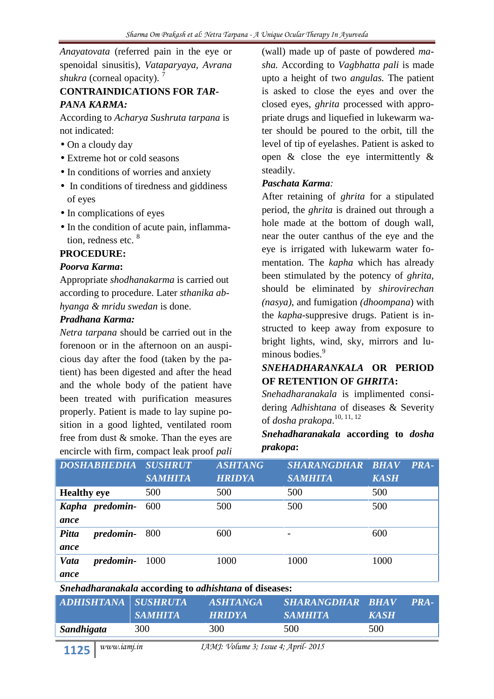*Anayatovata* (referred pain in the eye or spenoidal sinusitis), *Vataparyaya, Avrana shukra* (corneal opacity).<sup>7</sup>

## **CONTRAINDICATIONS FOR** *TAR-PANA KARMA:*

According to *Acharya Sushruta tarpana* is not indicated:

- On a cloudy day
- Extreme hot or cold seasons
- In conditions of worries and anxiety
- In conditions of tiredness and giddiness of eyes
- In complications of eyes
- In the condition of acute pain, inflammation, redness etc. <sup>8</sup>

## **PROCEDURE:**

## *Poorva Karma***:**

Appropriate *shodhanakarma* is carried out according to procedure. Later *sthanika abhyanga & mridu swedan* is done.

## *Pradhana Karma:*

*Netra tarpana* should be carried out in the forenoon or in the afternoon on an auspicious day after the food (taken by the patient) has been digested and after the head and the whole body of the patient have been treated with purification measures properly. Patient is made to lay supine position in a good lighted, ventilated room free from dust & smoke. Than the eyes are encircle with firm, compact leak proof *pali*

(wall) made up of paste of powdered *masha.* According to *Vagbhatta pali* is made upto a height of two *angulas.* The patient is asked to close the eyes and over the closed eyes, *ghrita* processed with appropriate drugs and liquefied in lukewarm water should be poured to the orbit, till the level of tip of eyelashes. Patient is asked to open & close the eye intermittently & steadily.

## *Paschata Karma:*

After retaining of *ghrita* for a stipulated period, the *ghrita* is drained out through a hole made at the bottom of dough wall, near the outer canthus of the eye and the eye is irrigated with lukewarm water fomentation. The *kapha* which has already been stimulated by the potency of *ghrita,* should be eliminated by *shirovirechan (nasya)*, and fumigation *(dhoompana*) with the *kapha*-suppresive drugs. Patient is instructed to keep away from exposure to bright lights, wind, sky, mirrors and luminous bodies.<sup>9</sup>

## *SNEHADHARANKALA* **OR PERIOD OF RETENTION OF** *GHRITA***:**

*Snehadharanakala* is implimented considering *Adhishtana* of diseases & Severity of *dosha prakopa*.10, 11, 12

## *Snehadharanakala* **according to** *dosha prakopa***:**

| <b>DOSHABHEDHA</b>                                                  | <b>SUSHRUT</b><br><b>SAMHITA</b> | <b>ASHTANG</b><br><b>HRIDYA</b> | SHARANGDHAR BHAV<br><b>SAMHITA</b> | <b>PRA-</b><br><b>KASH</b> |  |
|---------------------------------------------------------------------|----------------------------------|---------------------------------|------------------------------------|----------------------------|--|
| <b>Healthy eye</b>                                                  | 500                              | 500                             | 500                                | 500                        |  |
| Kapha predomin-                                                     | 600                              | 500                             | 500                                | 500                        |  |
| ance                                                                |                                  |                                 |                                    |                            |  |
| Pitta<br>predomin-800                                               |                                  | 600                             |                                    | 600                        |  |
| ance                                                                |                                  |                                 |                                    |                            |  |
| <i>predomin-</i><br>Vata                                            | 1000                             | 1000                            | 1000                               | 1000                       |  |
| ance                                                                |                                  |                                 |                                    |                            |  |
| <i>Snehadharanakala</i> according to <i>adhishtana</i> of diseases: |                                  |                                 |                                    |                            |  |

*Snehadharanakala* **according to** *adhishtana* **of diseases:**

| ADHISHTANA SUSHRUTA | <i>SAMHITA</i> | <i><b>ASHTANGA</b></i><br><b>HRIDYA</b> | SHARANGDHAR BHAV<br><b>SAMHITA</b> | <b>KASH</b> | PRA- |
|---------------------|----------------|-----------------------------------------|------------------------------------|-------------|------|
| Sandhigata          | 300            | 300                                     | 500                                | 500         |      |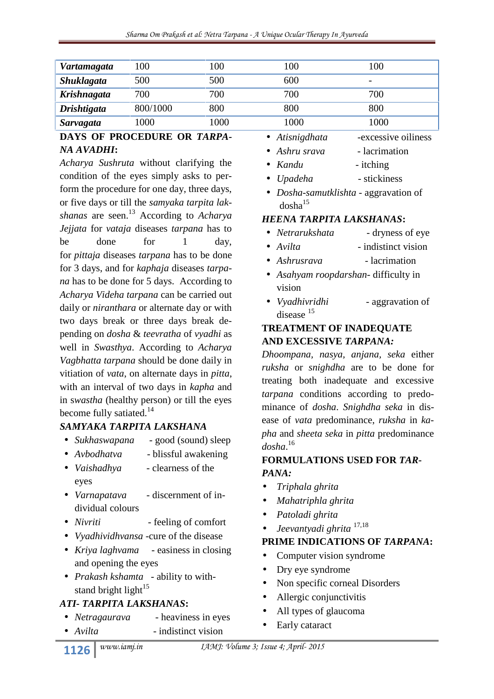| Vartamagata        | 100      | 100  | 100  | 100  |
|--------------------|----------|------|------|------|
| <b>Shuklagata</b>  | 500      | 500  | 600  | -    |
| Krishnagata        | 700      | 700  | 700  | 700  |
| <b>Drishtigata</b> | 800/1000 | 800  | 800  | 800  |
| Sarvagata          | 1000     | 1000 | 1000 | 1000 |

## **DAYS OF PROCEDURE OR** *TARPA-NA AVADHI***:**

*Acharya Sushruta* without clarifying the condition of the eyes simply asks to perform the procedure for one day, three days, or five days or till the *samyaka tarpita lakshanas* are seen.<sup>13</sup> According to *Acharya Jejjata* for *vataja* diseases *tarpana* has to be done for 1 day, for *pittaja* diseases *tarpana* has to be done for 3 days, and for *kaphaja* diseases *tarpana* has to be done for 5 days. According to *Acharya Videha tarpana* can be carried out daily or *niranthara* or alternate day or with values of the state of the state of the state of the state of the state of the state of the state of the state of the state of the state of the state of the state of the state two days break or three days break depending on *dosha* & *teevratha* of *vyadhi* as well in *Swasthya*. According to *Acharya Vagbhatta tarpana* should be done daily in vitiation of *vata*, on alternate days in *pitta*, with an interval of two days in *kapha* and in s*wastha* (healthy person) or till the eyes become fully satiated. $14$ 

## *SAMYAKA TARPITA LAKSHANA*

- *Sukhaswapana* good (sound) sleep
- *Avbodhatva* blissful awakening
- *Vaishadhya* clearness of the eyes
- *Varnapatava* discernment of individual colours
- *Nivriti* feeling of comfort
- *Vyadhividhvansa* -cure of the disease
- *Kriya laghvama* easiness in closing and opening the eyes
- *Prakash kshamta* ability to withstand bright light $15$

## *ATI- TARPITA LAKSHANAS***:**

- *Netragaurava* heaviness in eyes
- *Avilta* indistinct vision
- *Atisnigdhata* -excessive oiliness
- *Ashru srava* lacrimation
- *Kandu itching*
- *Upadeha* stickiness
- *Dosha-samutklishta* aggravation of  $dosha^{15}$

## *HEENA TARPITA LAKSHANAS***:**

- dryness of eye
- *Avilta* indistinct vision
- *Ashrusrava* lacrimation
- *Asahyam roopdarshan* difficulty in vision
- aggravation of disease<sup>15</sup>

## **TREATMENT OF INADEQUATE AND EXCESSIVE** *TARPANA:*

*Dhoompana, nasya, anjana, seka* either *ruksha* or *snighdha* are to be done for treating both inadequate and excessive *tarpana* conditions according to predominance of *dosha*. *Snighdha seka* in disease of *vata* predominance, *ruksha* in *kapha* and *sheeta seka* in *pitta* predominance *dosha*.<sup>16</sup>

## **FORMULATIONS USED FOR** *TAR-PANA:*

- *Triphala ghrita*
- *Mahatriphla ghrita*
- *Patoladi ghrita*
- *Jeevantyadi ghrita* 17,18

## **PRIME INDICATIONS OF** *TARPANA***:**

- Computer vision syndrome
- Dry eye syndrome
- Non specific corneal Disorders
- Allergic conjunctivitis
- All types of glaucoma
- Early cataract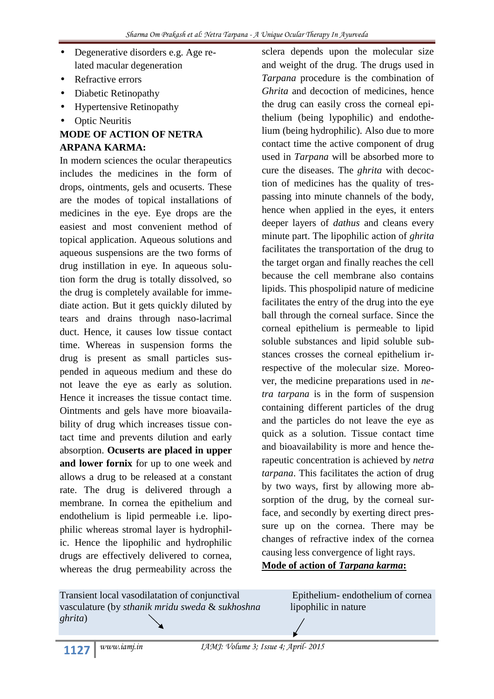- Degenerative disorders e.g. Age related macular degeneration
- Refractive errors
- Diabetic Retinopathy
- Hypertensive Retinopathy
- Optic Neuritis

## **MODE OF ACTION OF NETRA ARPANA KARMA:**

In modern sciences the ocular therapeutics includes the medicines in the form of drops, ointments, gels and ocuserts. These are the modes of topical installations of medicines in the eye. Eye drops are the easiest and most convenient method of topical application. Aqueous solutions and aqueous suspensions are the two forms of drug instillation in eye. In aqueous solution form the drug is totally dissolved, so the drug is completely available for immediate action. But it gets quickly diluted by tears and drains through naso-lacrimal duct. Hence, it causes low tissue contact time. Whereas in suspension forms the drug is present as small particles suspended in aqueous medium and these do not leave the eye as early as solution. Hence it increases the tissue contact time. Ointments and gels have more bioavailability of drug which increases tissue contact time and prevents dilution and early absorption. **Ocuserts are placed in upper and lower fornix** for up to one week and allows a drug to be released at a constant rate. The drug is delivered through a membrane. In cornea the epithelium and endothelium is lipid permeable i.e. lipophilic whereas stromal layer is hydrophilic. Hence the lipophilic and hydrophilic drugs are effectively delivered to cornea, whereas the drug permeability across the sclera depends upon the molecular size and weight of the drug. The drugs used in *Tarpana* procedure is the combination of *Ghrita* and decoction of medicines, hence the drug can easily cross the corneal epithelium (being lypophilic) and endothelium (being hydrophilic). Also due to more contact time the active component of drug used in *Tarpana* will be absorbed more to cure the diseases. The *ghrita* with decoction of medicines has the quality of trespassing into minute channels of the body, hence when applied in the eyes, it enters deeper layers of *dathus* and cleans every minute part. The lipophilic action of *ghrita* facilitates the transportation of the drug to the target organ and finally reaches the cell because the cell membrane also contains lipids. This phospolipid nature of medicine facilitates the entry of the drug into the eye ball through the corneal surface. Since the corneal epithelium is permeable to lipid soluble substances and lipid soluble substances crosses the corneal epithelium irrespective of the molecular size. Moreover, the medicine preparations used in *netra tarpana* is in the form of suspension containing different particles of the drug and the particles do not leave the eye as quick as a solution. Tissue contact time and bioavailability is more and hence therapeutic concentration is achieved by *netra tarpana*. This facilitates the action of drug by two ways, first by allowing more absorption of the drug, by the corneal surface, and secondly by exerting direct pressure up on the cornea. There may be changes of refractive index of the cornea causing less convergence of light rays. **Mode of action of** *Tarpana karma***:**

| Transient local vasodilatation of conjunctival  | Epithelium-endothelium of cornea |
|-------------------------------------------------|----------------------------------|
| vasculature (by sthanik mridu sweda & sukhoshna | lipophilic in nature             |
| ghrita)                                         |                                  |
|                                                 |                                  |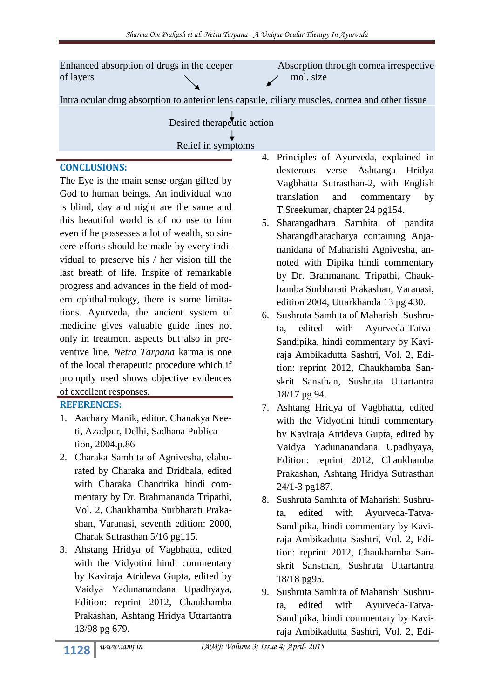Enhanced absorption of drugs in the deeper Absorption through cornea irrespective of layers mol. size Intra ocular drug absorption to anterior lens capsule, ciliary muscles, cornea and other tissue Desired therapeutic action

Relief in symptoms

#### **CONCLUSIONS:**

The Eye is the main sense organ gifted by God to human beings. An individual who is blind, day and night are the same and this beautiful world is of no use to him even if he possesses a lot of wealth, so sincere efforts should be made by every individual to preserve his / her vision till the last breath of life. Inspite of remarkable progress and advances in the field of modern ophthalmology, there is some limitations. Ayurveda, the ancient system of medicine gives valuable guide lines not only in treatment aspects but also in preventive line. *Netra Tarpana* karma is one of the local therapeutic procedure which if promptly used shows objective evidences of excellent responses.

## **REFERENCES:**

- 1. Aachary Manik, editor. Chanakya Neeti, Azadpur, Delhi, Sadhana Publication, 2004.p.86
- 2. Charaka Samhita of Agnivesha, elaborated by Charaka and Dridbala, edited with Charaka Chandrika hindi commentary by Dr. Brahmananda Tripathi, Vol. 2, Chaukhamba Surbharati Prakashan, Varanasi, seventh edition: 2000, Charak Sutrasthan 5/16 pg115.
- 3. Ahstang Hridya of Vagbhatta, edited with the Vidyotini hindi commentary by Kaviraja Atrideva Gupta, edited by Vaidya Yadunanandana Upadhyaya, Edition: reprint 2012, Chaukhamba Prakashan, Ashtang Hridya Uttartantra 13/98 pg 679.
- 4. Principles of Ayurveda, explained in dexterous verse Ashtanga Hridya Vagbhatta Sutrasthan-2, with English translation and commentary by T.Sreekumar, chapter 24 pg154.
- 5. Sharangadhara Samhita of pandita Sharangdharacharya containing Anjananidana of Maharishi Agnivesha, annoted with Dipika hindi commentary by Dr. Brahmanand Tripathi, Chaukhamba Surbharati Prakashan, Varanasi, edition 2004, Uttarkhanda 13 pg 430.
- 6. Sushruta Samhita of Maharishi Sushruta, edited with Ayurveda-Tatva- Sandipika, hindi commentary by Kaviraja Ambikadutta Sashtri, Vol. 2, Edition: reprint 2012, Chaukhamba Sanskrit Sansthan, Sushruta Uttartantra 18/17 pg 94.
- 7. Ashtang Hridya of Vagbhatta, edited with the Vidyotini hindi commentary by Kaviraja Atrideva Gupta, edited by Vaidya Yadunanandana Upadhyaya, Edition: reprint 2012, Chaukhamba Prakashan, Ashtang Hridya Sutrasthan 24/1-3 pg187.
- 8. Sushruta Samhita of Maharishi Sushruta, edited with Ayurveda-Tatva- Sandipika, hindi commentary by Kaviraja Ambikadutta Sashtri, Vol. 2, Edition: reprint 2012, Chaukhamba Sanskrit Sansthan, Sushruta Uttartantra 18/18 pg95.
- 9. Sushruta Samhita of Maharishi Sushruta, edited with Ayurveda-Tatva- Sandipika, hindi commentary by Kaviraja Ambikadutta Sashtri, Vol. 2, Edi-